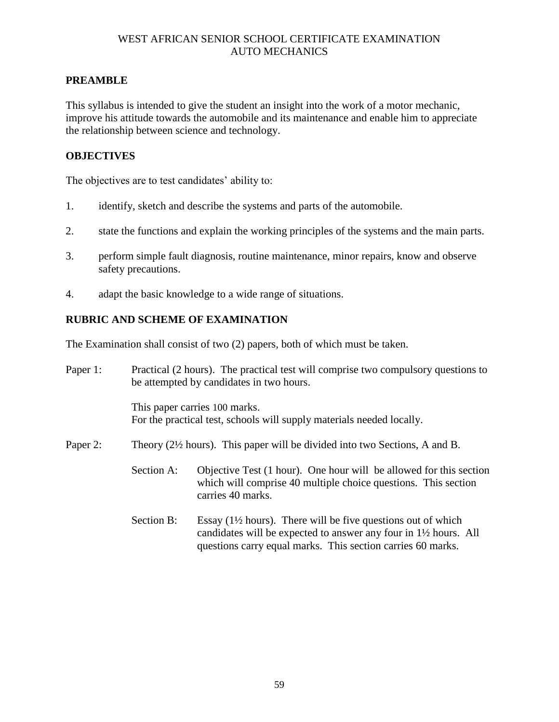### **PREAMBLE**

This syllabus is intended to give the student an insight into the work of a motor mechanic, improve his attitude towards the automobile and its maintenance and enable him to appreciate the relationship between science and technology.

#### **OBJECTIVES**

The objectives are to test candidates' ability to:

- 1. identify, sketch and describe the systems and parts of the automobile.
- 2. state the functions and explain the working principles of the systems and the main parts.
- 3. perform simple fault diagnosis, routine maintenance, minor repairs, know and observe safety precautions.
- 4. adapt the basic knowledge to a wide range of situations.

#### **RUBRIC AND SCHEME OF EXAMINATION**

The Examination shall consist of two (2) papers, both of which must be taken.

| Paper 1: | Practical (2 hours). The practical test will comprise two compulsory questions to<br>be attempted by candidates in two hours. |                                                                                                                                                                                                                        |  |
|----------|-------------------------------------------------------------------------------------------------------------------------------|------------------------------------------------------------------------------------------------------------------------------------------------------------------------------------------------------------------------|--|
|          | This paper carries 100 marks.<br>For the practical test, schools will supply materials needed locally.                        |                                                                                                                                                                                                                        |  |
| Paper 2: | Theory $(2\frac{1}{2})$ hours). This paper will be divided into two Sections, A and B.                                        |                                                                                                                                                                                                                        |  |
|          | Section A:                                                                                                                    | Objective Test (1 hour). One hour will be allowed for this section<br>which will comprise 40 multiple choice questions. This section<br>carries 40 marks.                                                              |  |
|          | Section B:                                                                                                                    | Essay $(1\frac{1}{2})$ hours). There will be five questions out of which<br>candidates will be expected to answer any four in $1\frac{1}{2}$ hours. All<br>questions carry equal marks. This section carries 60 marks. |  |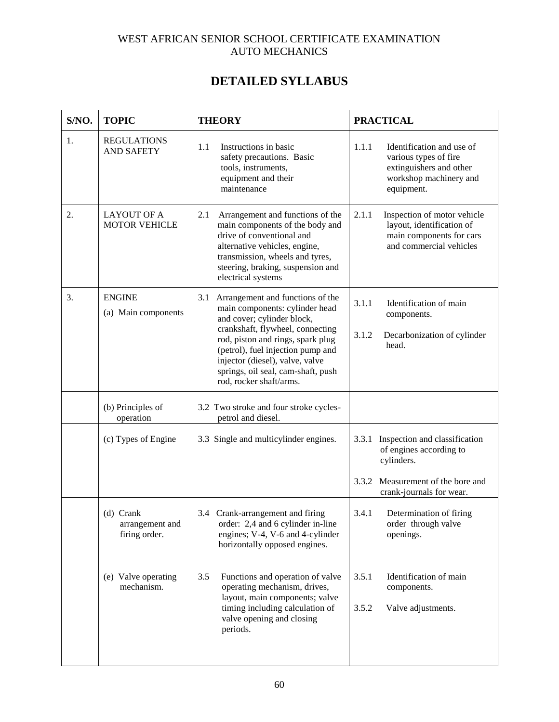# **DETAILED SYLLABUS**

| S/NO. | <b>TOPIC</b>                                  | <b>THEORY</b>                                                                                                                                                                                                                                                                                                             | <b>PRACTICAL</b>                                                                                                               |
|-------|-----------------------------------------------|---------------------------------------------------------------------------------------------------------------------------------------------------------------------------------------------------------------------------------------------------------------------------------------------------------------------------|--------------------------------------------------------------------------------------------------------------------------------|
| 1.    | <b>REGULATIONS</b><br><b>AND SAFETY</b>       | Instructions in basic<br>1.1<br>safety precautions. Basic<br>tools, instruments,<br>equipment and their<br>maintenance                                                                                                                                                                                                    | 1.1.1<br>Identification and use of<br>various types of fire<br>extinguishers and other<br>workshop machinery and<br>equipment. |
| 2.    | <b>LAYOUT OF A</b><br><b>MOTOR VEHICLE</b>    | 2.1<br>Arrangement and functions of the<br>main components of the body and<br>drive of conventional and<br>alternative vehicles, engine,<br>transmission, wheels and tyres,<br>steering, braking, suspension and<br>electrical systems                                                                                    | 2.1.1<br>Inspection of motor vehicle<br>layout, identification of<br>main components for cars<br>and commercial vehicles       |
| 3.    | <b>ENGINE</b><br>(a) Main components          | 3.1<br>Arrangement and functions of the<br>main components: cylinder head<br>and cover; cylinder block,<br>crankshaft, flywheel, connecting<br>rod, piston and rings, spark plug<br>(petrol), fuel injection pump and<br>injector (diesel), valve, valve<br>springs, oil seal, cam-shaft, push<br>rod, rocker shaft/arms. | 3.1.1<br>Identification of main<br>components.<br>3.1.2<br>Decarbonization of cylinder<br>head.                                |
|       | (b) Principles of<br>operation                | 3.2 Two stroke and four stroke cycles-<br>petrol and diesel.                                                                                                                                                                                                                                                              |                                                                                                                                |
|       | (c) Types of Engine                           | 3.3 Single and multicylinder engines.                                                                                                                                                                                                                                                                                     | Inspection and classification<br>3.3.1<br>of engines according to<br>cylinders.                                                |
|       |                                               |                                                                                                                                                                                                                                                                                                                           | Measurement of the bore and<br>3.3.2<br>crank-journals for wear.                                                               |
|       | (d) Crank<br>arrangement and<br>firing order. | 3.4 Crank-arrangement and firing<br>order: 2,4 and 6 cylinder in-line<br>engines; V-4, V-6 and 4-cylinder<br>horizontally opposed engines.                                                                                                                                                                                | 3.4.1<br>Determination of firing<br>order through valve<br>openings.                                                           |
|       | (e) Valve operating<br>mechanism.             | 3.5<br>Functions and operation of valve<br>operating mechanism, drives,<br>layout, main components; valve<br>timing including calculation of<br>valve opening and closing<br>periods.                                                                                                                                     | 3.5.1<br>Identification of main<br>components.<br>3.5.2<br>Valve adjustments.                                                  |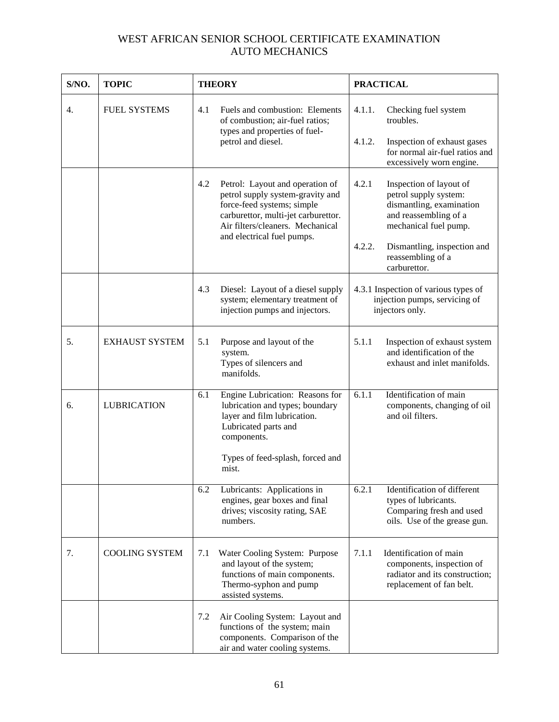| S/NO. | <b>TOPIC</b>               | <b>THEORY</b> |                                                                                                                                                                              | <b>PRACTICAL</b>                                                 |                                                                                                                                |
|-------|----------------------------|---------------|------------------------------------------------------------------------------------------------------------------------------------------------------------------------------|------------------------------------------------------------------|--------------------------------------------------------------------------------------------------------------------------------|
| 4.    | <b>FUEL SYSTEMS</b>        | 4.1           | Fuels and combustion: Elements<br>of combustion; air-fuel ratios;<br>types and properties of fuel-<br>petrol and diesel.                                                     | 4.1.1.                                                           | Checking fuel system<br>troubles.                                                                                              |
|       |                            |               |                                                                                                                                                                              | 4.1.2.                                                           | Inspection of exhaust gases<br>for normal air-fuel ratios and<br>excessively worn engine.                                      |
|       |                            | 4.2           | Petrol: Layout and operation of<br>petrol supply system-gravity and<br>force-feed systems; simple<br>carburettor, multi-jet carburettor.<br>Air filters/cleaners. Mechanical | 4.2.1                                                            | Inspection of layout of<br>petrol supply system:<br>dismantling, examination<br>and reassembling of a<br>mechanical fuel pump. |
|       | and electrical fuel pumps. |               | 4.2.2.                                                                                                                                                                       | Dismantling, inspection and<br>reassembling of a<br>carburettor. |                                                                                                                                |
|       |                            | 4.3           | Diesel: Layout of a diesel supply<br>system; elementary treatment of<br>injection pumps and injectors.                                                                       |                                                                  | 4.3.1 Inspection of various types of<br>injection pumps, servicing of<br>injectors only.                                       |
| 5.    | <b>EXHAUST SYSTEM</b>      | 5.1           | Purpose and layout of the<br>system.<br>Types of silencers and<br>manifolds.                                                                                                 | 5.1.1                                                            | Inspection of exhaust system<br>and identification of the<br>exhaust and inlet manifolds.                                      |
| 6.    | <b>LUBRICATION</b>         | 6.1           | Engine Lubrication: Reasons for<br>lubrication and types; boundary<br>layer and film lubrication.<br>Lubricated parts and<br>components.                                     | 6.1.1                                                            | Identification of main<br>components, changing of oil<br>and oil filters.                                                      |
|       |                            |               | Types of feed-splash, forced and<br>mist.                                                                                                                                    |                                                                  |                                                                                                                                |
|       |                            | 6.2           | Lubricants: Applications in<br>engines, gear boxes and final<br>drives; viscosity rating, SAE<br>numbers.                                                                    | 6.2.1                                                            | Identification of different<br>types of lubricants.<br>Comparing fresh and used<br>oils. Use of the grease gun.                |
| 7.    | <b>COOLING SYSTEM</b>      | 7.1           | Water Cooling System: Purpose<br>and layout of the system;<br>functions of main components.<br>Thermo-syphon and pump<br>assisted systems.                                   | 7.1.1                                                            | Identification of main<br>components, inspection of<br>radiator and its construction;<br>replacement of fan belt.              |
|       |                            | 7.2           | Air Cooling System: Layout and<br>functions of the system; main<br>components. Comparison of the<br>air and water cooling systems.                                           |                                                                  |                                                                                                                                |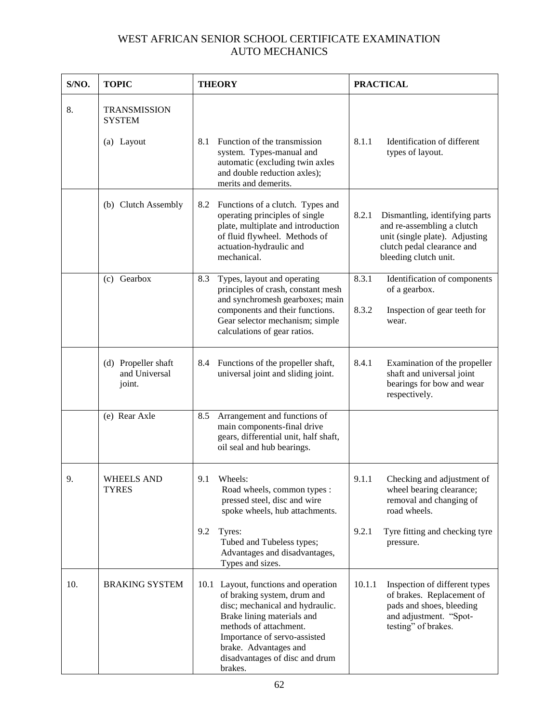| S/NO.       | <b>TOPIC</b>                                   | <b>THEORY</b>                                                                                                                                                                                                                                                        | <b>PRACTICAL</b>                                                                                                                                               |  |
|-------------|------------------------------------------------|----------------------------------------------------------------------------------------------------------------------------------------------------------------------------------------------------------------------------------------------------------------------|----------------------------------------------------------------------------------------------------------------------------------------------------------------|--|
| 8.          | <b>TRANSMISSION</b><br><b>SYSTEM</b>           |                                                                                                                                                                                                                                                                      |                                                                                                                                                                |  |
|             | (a) Layout                                     | Function of the transmission<br>8.1<br>system. Types-manual and<br>automatic (excluding twin axles<br>and double reduction axles);<br>merits and demerits.                                                                                                           | 8.1.1<br>Identification of different<br>types of layout.                                                                                                       |  |
|             | (b) Clutch Assembly                            | 8.2<br>Functions of a clutch. Types and<br>operating principles of single<br>plate, multiplate and introduction<br>of fluid flywheel. Methods of<br>actuation-hydraulic and<br>mechanical.                                                                           | 8.2.1<br>Dismantling, identifying parts<br>and re-assembling a clutch<br>unit (single plate). Adjusting<br>clutch pedal clearance and<br>bleeding clutch unit. |  |
|             | (c) Gearbox                                    | 8.3<br>Types, layout and operating<br>principles of crash, constant mesh<br>and synchromesh gearboxes; main<br>components and their functions.<br>Gear selector mechanism; simple<br>calculations of gear ratios.                                                    | 8.3.1<br>Identification of components<br>of a gearbox.<br>8.3.2<br>Inspection of gear teeth for<br>wear.                                                       |  |
|             | (d) Propeller shaft<br>and Universal<br>joint. | Functions of the propeller shaft,<br>8.4<br>universal joint and sliding joint.                                                                                                                                                                                       | 8.4.1<br>Examination of the propeller<br>shaft and universal joint<br>bearings for bow and wear<br>respectively.                                               |  |
|             | (e) Rear Axle                                  | 8.5<br>Arrangement and functions of<br>main components-final drive<br>gears, differential unit, half shaft,<br>oil seal and hub bearings.                                                                                                                            |                                                                                                                                                                |  |
| $\mathbf Q$ | <b>WHEELS AND</b><br><b>TYRES</b>              | Wheels:<br>9.1<br>Road wheels, common types :<br>pressed steel, disc and wire<br>spoke wheels, hub attachments.                                                                                                                                                      | 9.1.1<br>Checking and adjustment of<br>wheel bearing clearance;<br>removal and changing of<br>road wheels.                                                     |  |
|             |                                                | 9.2<br>Tyres:<br>Tubed and Tubeless types;<br>Advantages and disadvantages,<br>Types and sizes.                                                                                                                                                                      | 9.2.1<br>Tyre fitting and checking tyre<br>pressure.                                                                                                           |  |
| 10.         | <b>BRAKING SYSTEM</b>                          | 10.1 Layout, functions and operation<br>of braking system, drum and<br>disc; mechanical and hydraulic.<br>Brake lining materials and<br>methods of attachment.<br>Importance of servo-assisted<br>brake. Advantages and<br>disadvantages of disc and drum<br>brakes. | 10.1.1<br>Inspection of different types<br>of brakes. Replacement of<br>pads and shoes, bleeding<br>and adjustment. "Spot-<br>testing" of brakes.              |  |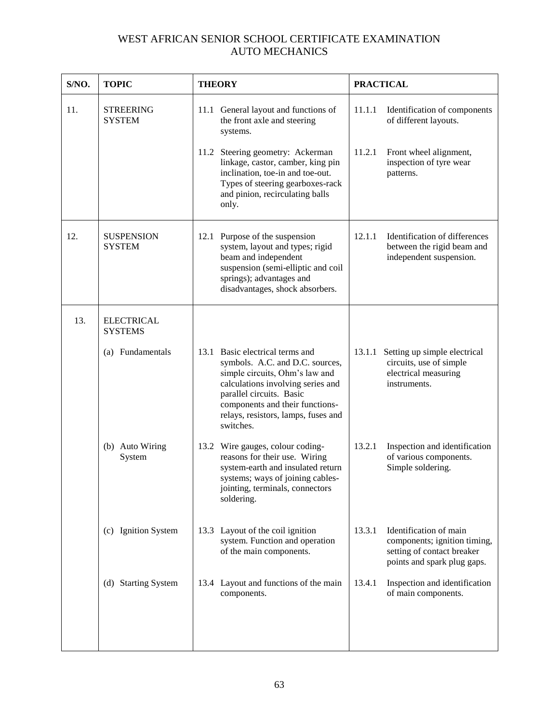| S/NO. | <b>TOPIC</b>                        | <b>THEORY</b>                                                                                                                                                                                                                                                | <b>PRACTICAL</b>                                                                                                              |
|-------|-------------------------------------|--------------------------------------------------------------------------------------------------------------------------------------------------------------------------------------------------------------------------------------------------------------|-------------------------------------------------------------------------------------------------------------------------------|
| 11.   | <b>STREERING</b><br><b>SYSTEM</b>   | 11.1 General layout and functions of<br>the front axle and steering<br>systems.                                                                                                                                                                              | 11.1.1<br>Identification of components<br>of different layouts.                                                               |
|       |                                     | 11.2 Steering geometry: Ackerman<br>linkage, castor, camber, king pin<br>inclination, toe-in and toe-out.<br>Types of steering gearboxes-rack<br>and pinion, recirculating balls<br>only.                                                                    | 11.2.1<br>Front wheel alignment,<br>inspection of tyre wear<br>patterns.                                                      |
| 12.   | <b>SUSPENSION</b><br><b>SYSTEM</b>  | 12.1 Purpose of the suspension<br>system, layout and types; rigid<br>beam and independent<br>suspension (semi-elliptic and coil<br>springs); advantages and<br>disadvantages, shock absorbers.                                                               | Identification of differences<br>12.1.1<br>between the rigid beam and<br>independent suspension.                              |
| 13.   | <b>ELECTRICAL</b><br><b>SYSTEMS</b> |                                                                                                                                                                                                                                                              |                                                                                                                               |
|       | (a) Fundamentals                    | 13.1 Basic electrical terms and<br>symbols. A.C. and D.C. sources,<br>simple circuits, Ohm's law and<br>calculations involving series and<br>parallel circuits. Basic<br>components and their functions-<br>relays, resistors, lamps, fuses and<br>switches. | 13.1.1<br>Setting up simple electrical<br>circuits, use of simple<br>electrical measuring<br>instruments.                     |
|       | (b) Auto Wiring<br>System           | 13.2 Wire gauges, colour coding-<br>reasons for their use. Wiring<br>system-earth and insulated return<br>systems; ways of joining cables-<br>jointing, terminals, connectors<br>soldering.                                                                  | Inspection and identification<br>13.2.1<br>of various components.<br>Simple soldering.                                        |
|       | (c) Ignition System                 | 13.3 Layout of the coil ignition<br>system. Function and operation<br>of the main components.                                                                                                                                                                | 13.3.1<br>Identification of main<br>components; ignition timing,<br>setting of contact breaker<br>points and spark plug gaps. |
|       | (d) Starting System                 | 13.4 Layout and functions of the main<br>components.                                                                                                                                                                                                         | 13.4.1<br>Inspection and identification<br>of main components.                                                                |